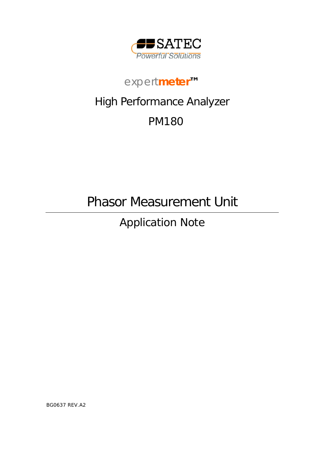

# *expert***meter***™*

# High Performance Analyzer

# PM180

Phasor Measurement Unit

Application Note

BG0637 REV.A2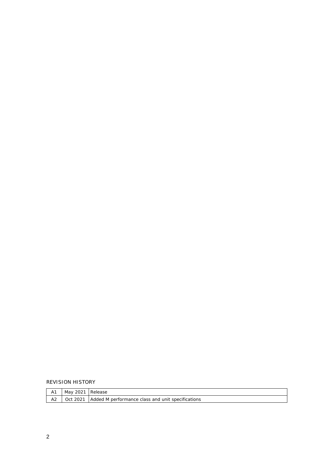REVISION HISTORY

|                | May 2021 Release |                                                                    |
|----------------|------------------|--------------------------------------------------------------------|
| A <sub>2</sub> |                  | <b>Oct 2021 LAdded M performance class and unit specifications</b> |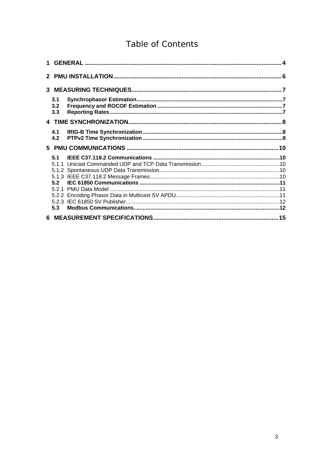# Table of Contents

| 3.1 |  |
|-----|--|
| 3.2 |  |
| 3.3 |  |
|     |  |
| 4.1 |  |
| 4.2 |  |
|     |  |
|     |  |
| 51  |  |
|     |  |
|     |  |
|     |  |
|     |  |
|     |  |
|     |  |
| 5.3 |  |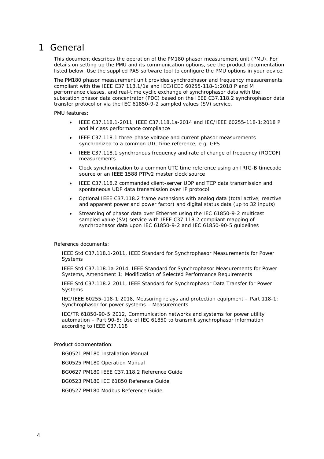# <span id="page-3-0"></span>1 General

This document describes the operation of the PM180 phasor measurement unit (PMU). For details on setting up the PMU and its communication options, see the product documentation listed below. Use the supplied PAS software tool to configure the PMU options in your device.

The PM180 phasor measurement unit provides synchrophasor and frequency measurements compliant with the IEEE C37.118.1/1a and IEC/IEEE 60255-118-1:2018 P and M performance classes, and real-time cyclic exchange of synchrophasor data with the substation phasor data concentrator (PDC) based on the IEEE C37.118.2 synchrophasor data transfer protocol or via the IEC 61850-9-2 sampled values (SV) service.

PMU features:

- IEEE C37.118.1-2011, IEEE C37.118.1a-2014 and IEC/IEEE 60255-118-1:2018 P and M class performance compliance
- IEEE C37.118.1 three-phase voltage and current phasor measurements synchronized to a common UTC time reference, e.g. GPS
- IEEE C37.118.1 synchronous frequency and rate of change of frequency (ROCOF) measurements
- Clock synchronization to a common UTC time reference using an IRIG-B timecode source or an IEEE 1588 PTPv2 master clock source
- IEEE C37.118.2 commanded client-server UDP and TCP data transmission and spontaneous UDP data transmission over IP protocol
- Optional IEEE C37.118.2 frame extensions with analog data (total active, reactive and apparent power and power factor) and digital status data (up to 32 inputs)
- Streaming of phasor data over Ethernet using the IEC 61850-9-2 multicast sampled value (SV) service with IEEE C37.118.2 compliant mapping of synchrophasor data upon IEC 61850-9-2 and IEC 61850-90-5 guidelines

Reference documents:

IEEE Std C37.118.1-2011, IEEE Standard for Synchrophasor Measurements for Power Systems

IEEE Std C37.118.1a-2014, IEEE Standard for Synchrophasor Measurements for Power Systems, Amendment 1: Modification of Selected Performance Requirements

IEEE Std C37.118.2-2011, IEEE Standard for Synchrophasor Data Transfer for Power Systems

IEC/IEEE 60255-118-1:2018, Measuring relays and protection equipment – Part 118-1: Synchrophasor for power systems – Measurements

IEC/TR 61850-90-5:2012, Communication networks and systems for power utility automation – Part 90-5: Use of IEC 61850 to transmit synchrophasor information according to IEEE C37.118

Product documentation:

BG0521 PM180 Installation Manual

BG0525 PM180 Operation Manual

BG0627 PM180 IEEE C37.118.2 Reference Guide

BG0523 PM180 IEC 61850 Reference Guide

BG0527 PM180 Modbus Reference Guide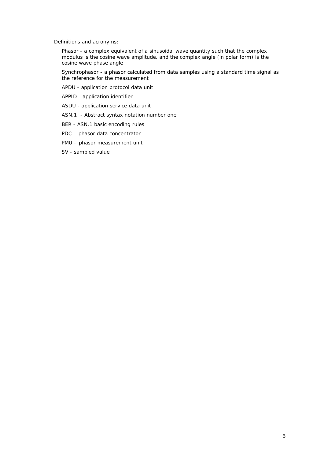Definitions and acronyms:

Phasor - a complex equivalent of a sinusoidal wave quantity such that the complex modulus is the cosine wave amplitude, and the complex angle (in polar form) is the cosine wave phase angle

Synchrophasor - a phasor calculated from data samples using a standard time signal as the reference for the measurement

APDU - application protocol data unit

APPID - application identifier

ASDU - application service data unit

ASN.1 - Abstract syntax notation number one

BER - ASN.1 basic encoding rules

PDC – phasor data concentrator

PMU – phasor measurement unit

SV - sampled value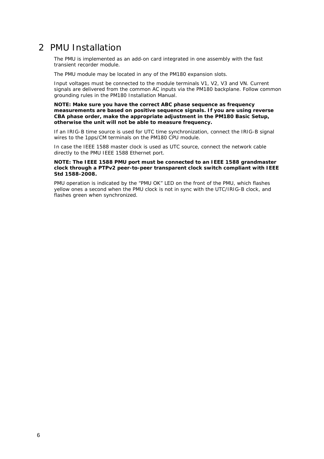# <span id="page-5-0"></span>2 PMU Installation

The PMU is implemented as an add-on card integrated in one assembly with the fast transient recorder module.

The PMU module may be located in any of the PM180 expansion slots.

Input voltages must be connected to the module terminals V1, V2, V3 and VN. Current signals are delivered from the common AC inputs via the PM180 backplane. Follow common grounding rules in the PM180 Installation Manual.

**NOTE: Make sure you have the correct ABC phase sequence as frequency measurements are based on positive sequence signals. If you are using reverse CBA phase order, make the appropriate adjustment in the PM180 Basic Setup, otherwise the unit will not be able to measure frequency.** 

If an IRIG-B time source is used for UTC time synchronization, connect the IRIG-B signal wires to the 1pps/CM terminals on the PM180 CPU module.

In case the IEEE 1588 master clock is used as UTC source, connect the network cable directly to the PMU IEEE 1588 Ethernet port.

#### **NOTE: The IEEE 1588 PMU port must be connected to an IEEE 1588 grandmaster clock through a PTPv2 peer-to-peer transparent clock switch compliant with IEEE Std 1588-2008.**

PMU operation is indicated by the "PMU OK" LED on the front of the PMU, which flashes yellow ones a second when the PMU clock is not in sync with the UTC/IRIG-B clock, and flashes green when synchronized.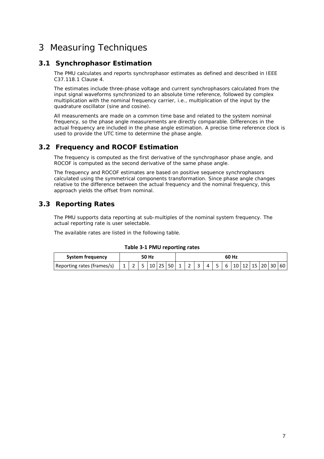# <span id="page-6-0"></span>3 Measuring Techniques

## **3.1 Synchrophasor Estimation**

<span id="page-6-1"></span>The PMU calculates and reports synchrophasor estimates as defined and described in IEEE C37.118.1 Clause 4.

The estimates include three-phase voltage and current synchrophasors calculated from the input signal waveforms synchronized to an absolute time reference, followed by complex multiplication with the nominal frequency carrier, i.e., multiplication of the input by the quadrature oscillator (sine and cosine).

All measurements are made on a common time base and related to the system nominal frequency, so the phase angle measurements are directly comparable. Differences in the actual frequency are included in the phase angle estimation. A precise time reference clock is used to provide the UTC time to determine the phase angle*.*

## **3.2 Frequency and ROCOF Estimation**

<span id="page-6-2"></span>The frequency is computed as the first derivative of the synchrophasor phase angle, and ROCOF is computed as the second derivative of the same phase angle.

The frequency and ROCOF estimates are based on positive sequence synchrophasors calculated using the symmetrical components transformation. Since phase angle changes relative to the difference between the actual frequency and the nominal frequency, this approach yields the offset from nominal.

## **3.3 Reporting Rates**

<span id="page-6-3"></span>The PMU supports data reporting at sub-multiples of the nominal system frequency. The actual reporting rate is user selectable.

The available rates are listed in the following table.

#### **Table 3‐1 PMU reporting rates**

| System frequency           |  | 50 Hz |  |  |  | 60 Hz               |  |  |  |  |  |  |  |  |  |  |  |  |
|----------------------------|--|-------|--|--|--|---------------------|--|--|--|--|--|--|--|--|--|--|--|--|
| Reporting rates (frames/s) |  |       |  |  |  | 1125102601121345611 |  |  |  |  |  |  |  |  |  |  |  |  |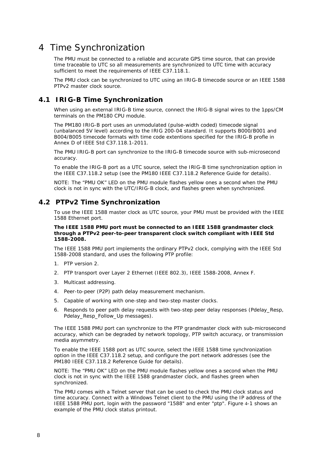# <span id="page-7-0"></span>4 Time Synchronization

The PMU must be connected to a reliable and accurate GPS time source, that can provide time traceable to UTC so all measurements are synchronized to UTC time with accuracy sufficient to meet the requirements of IEEE C37.118.1.

The PMU clock can be synchronized to UTC using an IRIG-B timecode source or an IEEE 1588 PTPv2 master clock source.

## **4.1 IRIG-B Time Synchronization**

<span id="page-7-1"></span>When using an external IRIG-B time source, connect the IRIG-B signal wires to the 1pps/CM terminals on the PM180 CPU module.

The PM180 IRIG-B port uses an unmodulated (pulse-width coded) timecode signal (unbalanced 5V level) according to the IRIG 200-04 standard. It supports B000/B001 and B004/B005 timecode formats with time code extentions specified for the IRIG-B profle in Annex D of IEEE Std C37.118.1-2011.

The PMU IRIG-B port can synchronize to the IRIG-B timecode source with sub-microsecond accuracy.

To enable the IRIG-B port as a UTC source, select the IRIG-B time synchronization option in the IEEE C37.118.2 setup (see the PM180 IEEE C37.118.2 Reference Guide for details).

NOTE: The "PMU OK" LED on the PMU module flashes yellow ones a second when the PMU clock is not in sync with the UTC/IRIG-B clock, and flashes green when synchronized.

### **4.2 PTPv2 Time Synchronization**

<span id="page-7-2"></span>To use the IEEE 1588 master clock as UTC source, your PMU must be provided with the IEEE 1588 Ethernet port.

#### **The IEEE 1588 PMU port must be connected to an IEEE 1588 grandmaster clock through a PTPv2 peer-to-peer transparent clock switch compliant with IEEE Std 1588-2008.**

The IEEE 1588 PMU port implements the ordinary PTPv2 clock, complying with the IEEE Std 1588-2008 standard, and uses the following PTP profile:

- 1. PTP version 2.
- 2. PTP transport over Layer 2 Ethernet (IEEE 802.3), IEEE 1588-2008, Annex F.
- 3. Multicast addressing.
- 4. Peer-to-peer (P2P) path delay measurement mechanism.
- 5. Capable of working with one-step and two-step master clocks.
- 6. Responds to peer path delay requests with two-step peer delay responses (Pdelay\_Resp, Pdelay\_Resp\_Follow\_Up messages).

The IEEE 1588 PMU port can synchronize to the PTP grandmaster clock with sub-microsecond accuracy, which can be degraded by network topology, PTP switch accuracy, or transmission media asymmetry.

To enable the IEEE 1588 port as UTC source, select the IEEE 1588 time synchronization option in the IEEE C37.118.2 setup, and configure the port network addresses (see the PM180 IEEE C37.118.2 Reference Guide for details).

NOTE: The "PMU OK" LED on the PMU module flashes yellow ones a second when the PMU clock is not in sync with the IEEE 1588 grandmaster clock, and flashes green when synchronized.

The PMU comes with a Telnet server that can be used to check the PMU clock status and time accuracy. Connect with a Windows Telnet client to the PMU using the IP address of the IEEE 1588 PMU port, login with the password "1588" and enter "ptp". [Figure](#page-8-0) 4-1 shows an example of the PMU clock status printout.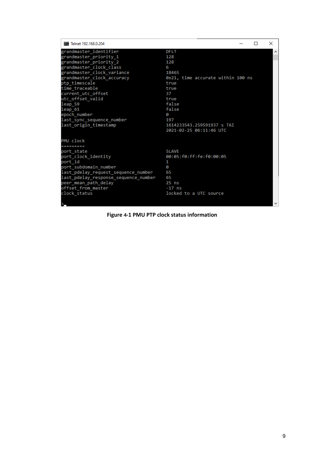| <b>BBB</b> Telnet 192.168.0.204      |                                   |  | $\times$ |
|--------------------------------------|-----------------------------------|--|----------|
| grandmaster identifier               | <b>DFLT</b>                       |  | Α        |
| grandmaster_priority_1               | 128                               |  |          |
| grandmaster_priority_2               | 128                               |  |          |
| grandmaster_clock_class              | 6                                 |  |          |
| grandmaster_clock_variance           | 18465                             |  |          |
| grandmaster_clock_accuracy           | 0x21, time accurate within 100 ns |  |          |
| ptp timescale                        | true                              |  |          |
| time traceable                       | true                              |  |          |
| current utc offset                   | 37                                |  |          |
| utc offset valid                     | true                              |  |          |
| leap 59                              | false                             |  |          |
| leap 61                              | false                             |  |          |
| epoch number                         | 0                                 |  |          |
| last sync sequence number            | 197                               |  |          |
| last_origin_timestamp                | 1614233543.259591937 s TAI        |  |          |
|                                      | 2021-02-25 06:11:46 UTC           |  |          |
| PMU clock                            |                                   |  |          |
| ----------                           |                                   |  |          |
| port state                           | <b>SLAVE</b>                      |  |          |
| port clock identity                  | 00:05:f0:ff:fe:f0:00:05           |  |          |
| port id                              | 1                                 |  |          |
| port_subdomain_number                | ø                                 |  |          |
| last pdelay request sequence number  | 65                                |  |          |
| last pdelay response sequence number | 65                                |  |          |
| peer_mean_path_delay                 | $25$ ns                           |  |          |
| offset from master                   | $-17$ ns                          |  |          |
| clock status                         | locked to a UTC source            |  |          |
|                                      |                                   |  |          |

<span id="page-8-0"></span>**Figure 4‐1 PMU PTP clock status information**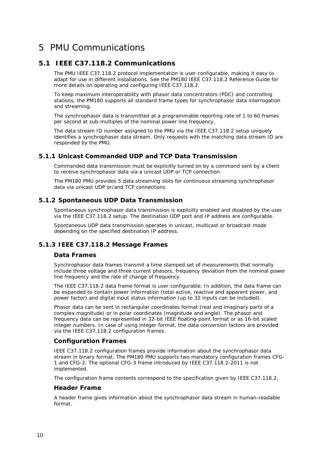# <span id="page-9-0"></span>5 PMU Communications

### **5.1 IEEE C37.118.2 Communications**

<span id="page-9-1"></span>The PMU IEEE C37.118.2 protocol implementation is user configurable, making it easy to adapt for use in different installations. See the PM180 IEEE C37.118.2 Reference Guide for more details on operating and configuring IEEE C37.118.2.

To keep maximum interoperability with phasor data concentrators (PDC) and controlling stations, the PM180 supports all standard frame types for synchrophasor data interrogation and streaming.

The synchrophasor data is transmitted at a programmable reporting rate of 1 to 60 frames per second at sub-multiples of the nominal power line frequency.

The data stream ID number assigned to the PMU via the IEEE C37.118.2 setup uniquely identifies a synchrophasor data stream. Only requests with the matching data stream ID are responded by the PMU.

#### **5.1.1 Unicast Commanded UDP and TCP Data Transmission**

<span id="page-9-2"></span>Commanded data transmission must be explicitly turned on by a command sent by a client to receive synchrophasor data via a unicast UDP or TCP connection.

The PM180 PMU provides 5 data streaming slots for continuous streaming synchrophasor data via unicast UDP or/and TCP connections.

#### **5.1.2 Spontaneous UDP Data Transmission**

<span id="page-9-3"></span>Spontaneous synchrophasor data transmission is explicitly enabled and disabled by the user via the IEEE C37.118.2 setup. The destination UDP port and IP address are configurable.

Spontaneous UDP data transmission operates in unicast, multicast or broadcast mode depending on the specified destination IP address.

#### **5.1.3 IEEE C37.118.2 Message Frames**

#### <span id="page-9-4"></span>**Data Frames**

Synchrophasor data frames transmit a time stamped set of measurements that normally include three voltage and three current phasors, frequency deviation from the nominal power line frequency and the rate of change of frequency.

The IEEE C37.118.2 data frame format is user configurable. In addition, the data frame can be expanded to contain power information (total active, reactive and apparent power, and power factor) and digital input status information (up to 32 inputs can be included).

Phasor data can be sent in rectangular coordinates format (real and imaginary parts of a complex magnitude) or in polar coordinates (magnitude and angle). The phasor and frequency data can be represented in 32-bit IEEE floating-point format or as 16-bit scaled integer numbers. In case of using integer format, the data conversion factors are provided via the IEEE C37.118.2 configuration frames.

#### **Configuration Frames**

IEEE C37.118.2 configuration frames provide information about the synchrophasor data stream in binary format. The PM180 PMU supports two mandatory configuration frames CFG-1 and CFG-2. The optional CFG-3 frame introduced by IEEE C37.118.2-2011 is not implemented.

The configuration frame contents correspond to the specification given by IEEE C37.118.2.

#### **Header Frame**

A header frame gives information about the synchrophasor data stream in human-readable format.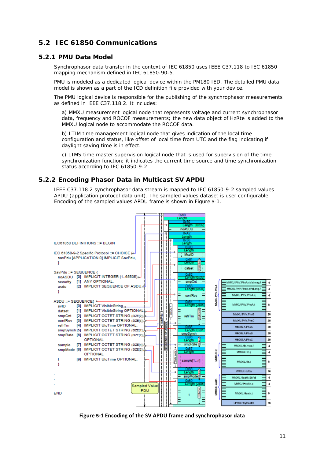### <span id="page-10-0"></span>**5.2 IEC 61850 Communications**

#### **5.2.1 PMU Data Model**

<span id="page-10-1"></span>Synchrophasor data transfer in the context of IEC 61850 uses IEEE C37.118 to IEC 61850 mapping mechanism defined in IEC 61850-90-5.

PMU is modeled as a dedicated logical device within the PM180 IED. The detailed PMU data model is shown as a part of the ICD definition file provided with your device.

The PMU logical device is responsible for the publishing of the synchrophasor measurements as defined in IEEE C37.118.2. It includes:

a) MMXU measurement logical node that represents voltage and current synchrophasor data, frequency and ROCOF measurements; the new data object of HzRte is added to the MMXU logical node to accommodate the ROCOF data.

b) LTIM time management logical node that gives indication of the local time configuration and status, like offset of local time from UTC and the flag indicating if daylight saving time is in effect.

c) LTMS time master supervision logical node that is used for supervision of the time synchronization function; it indicates the current time source and time synchronization status according to IEC 61850-9-2.

#### **5.2.2 Encoding Phasor Data in Multicast SV APDU**

<span id="page-10-2"></span>IEEE C37.118.2 synchrophasor data stream is mapped to IEC 61850-9-2 sampled values APDU (application protocol data unit). The sampled values dataset is user configurable. Encoding of the sampled values APDU frame is shown in [Figure](#page-10-3) 5-1.



<span id="page-10-3"></span>**Figure 5‐1 Encoding of the SV APDU frame and synchrophasor data**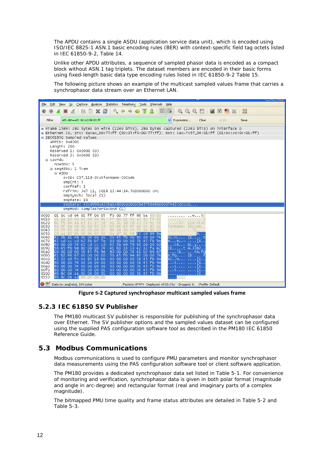The APDU contains a single ASDU (application service data unit), which is encoded using ISO/IEC 8825-1 ASN.1 basic encoding rules (BER) with context-specific field tag octets listed in IEC 61850-9-2, Table 14.

Unlike other APDU attributes, a sequence of sampled phasor data is encoded as a compact block without ASN.1 tag triplets. The dataset members are encoded in their basic forms using fixed-length basic data type encoding rules listed in IEC 61850-9-2 Table 15.

The following picture shows an example of the multicast sampled values frame that carries a synchrophasor data stream over an Ethernet LAN.

| Analyze<br>File<br>Edit<br>View<br>Go<br>⊆apture                                                                                                                                                                                                                                                                                                                                                                                                                                                                                                                                                                                                                                                                                                              | Statistics Telephony Tools<br>Internals<br>Help                                                                                                                                                                                                                                                                                                                                                                                                                                                                                                                                                                                                                                                                                              |
|---------------------------------------------------------------------------------------------------------------------------------------------------------------------------------------------------------------------------------------------------------------------------------------------------------------------------------------------------------------------------------------------------------------------------------------------------------------------------------------------------------------------------------------------------------------------------------------------------------------------------------------------------------------------------------------------------------------------------------------------------------------|----------------------------------------------------------------------------------------------------------------------------------------------------------------------------------------------------------------------------------------------------------------------------------------------------------------------------------------------------------------------------------------------------------------------------------------------------------------------------------------------------------------------------------------------------------------------------------------------------------------------------------------------------------------------------------------------------------------------------------------------|
| æ<br>×<br>$\odot$<br>⚫                                                                                                                                                                                                                                                                                                                                                                                                                                                                                                                                                                                                                                                                                                                                        | $\mathfrak{A}\subset \mathfrak{A}$<br>阡<br><b>DA</b><br>M<br>H<br>$\Box$<br>չ<br>巨<br>否                                                                                                                                                                                                                                                                                                                                                                                                                                                                                                                                                                                                                                                      |
| eth.dst==01:0c:cd:04:01:ff<br>Filter:                                                                                                                                                                                                                                                                                                                                                                                                                                                                                                                                                                                                                                                                                                                         | $\checkmark$<br>Expression<br>Clear<br>Apply<br>Save                                                                                                                                                                                                                                                                                                                                                                                                                                                                                                                                                                                                                                                                                         |
| E IEC61850 Sampled Values<br>APPID: 0x4000<br>Length: 266<br>Reserved 1: 0x0000 (0)<br>Reserved 2: 0x0000 (0)<br>⊟ savPdu<br>noASDU: 1<br>□ seqASDU: 1 item<br><b>ELASDU</b><br>svID: C37.118-StationName-IDCode<br>smpCnt: 5<br>confRef: 1<br>refrTm: Jul 11, 2018 12:44:14.500000000 UTC<br>smpSynch: local (1)<br>smpRate: 10                                                                                                                                                                                                                                                                                                                                                                                                                              | E Frame 1589: 280 bytes on wire (2240 bits), 280 bytes captured (2240 bits) on interface 0<br>E Ethernet II, Src: Satec_00:77:ff (00:05:f0:00:77:ff), Dst: Iec-Tc57_04:01:ff (01:0c:cd:04:01:ff)<br>seqData: 42cd999a423be148000000005b45fb9e8000007442cdcccd                                                                                                                                                                                                                                                                                                                                                                                                                                                                                |
| smpMod: samplesPerSecond (1)                                                                                                                                                                                                                                                                                                                                                                                                                                                                                                                                                                                                                                                                                                                                  |                                                                                                                                                                                                                                                                                                                                                                                                                                                                                                                                                                                                                                                                                                                                              |
| 0000<br>01 ff 00 05<br>01 Oc cd 04<br>0010<br>0a<br>$00-$<br>0000<br>00 60 81<br>ff.<br>01.<br>0020<br>f6<br>1a 43 33 37 2e<br>31<br>81.<br>80.<br>0030<br>6e 4e 61 6d 65 2d<br>69.<br>6f<br>0040<br>04 00 00 00 01<br>84 08<br>00.<br>05<br>83<br>0050<br>01 86 02 00<br>0a 87<br>85<br>01<br>aa.<br>0060<br>42 3b e1 48 00 00 00 00<br>$5b$ 45<br>0070<br>cc cd 42 3b bf 7e<br>00 00<br>42 cd<br>80 00 00 74 42 cd cc cd<br>0080<br>0090<br>5b 45 fb 9e 80 00 00 74<br>00a0<br>00 00 00 00 5b 45 fb 9e<br>00b0<br>41 b2 66 67 00 00 00 00<br>00c0<br>42 32 a9 fc 4e 85 18 bb<br>00d0<br>80 00 00 74 00 00 00 00<br>00e0<br>80 00 00 74 00 00 00 00<br>00f0<br>80 00 00 74 00 00 00 01<br>0100<br>86 8c 04 aa 00 00 00 01<br>0110<br>86 8c 04 aa 88 02 00 01 | f0 00 77 ff 88 ba<br>40 00<br>. @ .<br>01<br>01<br>a2<br>f9 30<br>80<br>81<br>. 0<br>31<br>38<br>2d<br>53.<br>74 61 74<br>C37. 118–Stat<br>49 44 43 6f<br>64 65 82 02<br>ionName− ID⊂ode<br>$5b$ 45<br>fb 9e 80 00<br>$E_{\rm{+}}$<br>81<br>$b8$ 42<br><b>cd</b><br>-99.<br>-9a<br>B<br>$9e$ 80<br>00 <sub>1</sub><br>00<br>-74<br>-fb<br>B: . H.<br>1 E. t<br>00<br>5b 45 fb 9e<br>00 <sub>1</sub><br>BB;.∼ [E<br>42 3b e9 79 00 00 00 00<br>$\ldots$ tB B;.y<br>41 b3 33 33 42 32 fa e2<br> Et A.33B2.<br>80 00 00 74 41 b2<br>66 67<br>IE. .<br>5b 45 fb 9e 80 00<br>00 74<br>00 00 00 00 5b 45 fb 9e<br>00 00 00 00 5b 45 fb 9e<br>Ε.<br>00 00 00 00 5b 45 fb 9e<br>Е.<br>00 00 00 00 5b 45 fb 9e<br>Ε.<br>00 00 00 00 5b 45 fb 9e<br>Ε. |
| $\bullet$ $\blacksquare$<br>Data (sv.seqData), 184 bytes                                                                                                                                                                                                                                                                                                                                                                                                                                                                                                                                                                                                                                                                                                      | Packets: 87474 · Displayed: 69 (0.1%) · Dropped: 0 Profile: Default                                                                                                                                                                                                                                                                                                                                                                                                                                                                                                                                                                                                                                                                          |

**Figure 5‐2 Captured synchrophasor multicast sampled values frame** 

#### **5.2.3 IEC 61850 SV Publisher**

<span id="page-11-0"></span>The PM180 multicast SV publisher is responsible for publishing of the synchrophasor data over Ethernet. The SV publisher options and the sampled values dataset can be configured using the supplied PAS configuration software tool as described in the PM180 IEC 61850 Reference Guide.

### **5.3 Modbus Communications**

<span id="page-11-1"></span>Modbus communications is used to configure PMU parameters and monitor synchrophasor data measurements using the PAS configuration software tool or client software application.

The PM180 provides a dedicated synchrophasor data set listed in [Table 5-1.](#page-12-0) For convenience of monitoring and verification, synchrophasor data is given in both polar format (magnitude and angle in arc-degree) and rectangular format (real and imaginary parts of a complex magnitude).

The bitmapped PMU time quality and frame status attributes are detailed in [Table 5-2](#page-13-0) and [Table 5-3.](#page-13-1)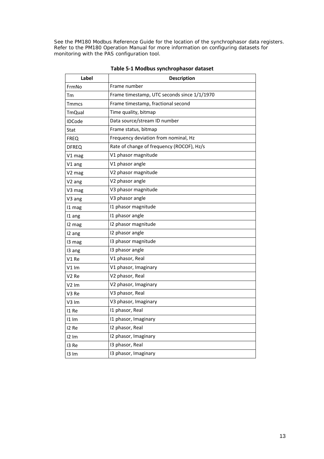See the PM180 Modbus Reference Guide for the location of the synchrophasor data registers. Refer to the PM180 Operation Manual for more information on configuring datasets for monitoring with the PAS configuration tool.

| Label             | <b>Description</b>                          |
|-------------------|---------------------------------------------|
| FrmNo             | Frame number                                |
| Тm                | Frame timestamp, UTC seconds since 1/1/1970 |
| Tmmcs             | Frame timestamp, fractional second          |
| <b>TmQual</b>     | Time quality, bitmap                        |
| <b>IDCode</b>     | Data source/stream ID number                |
| Stat              | Frame status, bitmap                        |
| <b>FREQ</b>       | Frequency deviation from nominal, Hz        |
| <b>DFREQ</b>      | Rate of change of frequency (ROCOF), Hz/s   |
| V1 mag            | V1 phasor magnitude                         |
| V1 ang            | V1 phasor angle                             |
| V2 mag            | V2 phasor magnitude                         |
| V2 ang            | V2 phasor angle                             |
| V3 mag            | V3 phasor magnitude                         |
| V3 ang            | V3 phasor angle                             |
| 11 mag            | 11 phasor magnitude                         |
| 11 ang            | 11 phasor angle                             |
| 12 mag            | 12 phasor magnitude                         |
| 12 ang            | 12 phasor angle                             |
| 13 mag            | 13 phasor magnitude                         |
| 13 ang            | 13 phasor angle                             |
| V1 Re             | V1 phasor, Real                             |
| V1 Im             | V1 phasor, Imaginary                        |
| V2 Re             | V2 phasor, Real                             |
| V2 Im             | V2 phasor, Imaginary                        |
| V3 Re             | V3 phasor, Real                             |
| V3 Im             | V3 phasor, Imaginary                        |
| <b>11 Re</b>      | 11 phasor, Real                             |
| $11 \, \text{Im}$ | I1 phasor, Imaginary                        |
| 12 Re             | 12 phasor, Real                             |
| $12 \text{ }$ lm  | 12 phasor, Imaginary                        |
| 13 Re             | 13 phasor, Real                             |
| 13 Im             | 13 phasor, Imaginary                        |

<span id="page-12-0"></span>**Table 5‐1 Modbus synchrophasor dataset**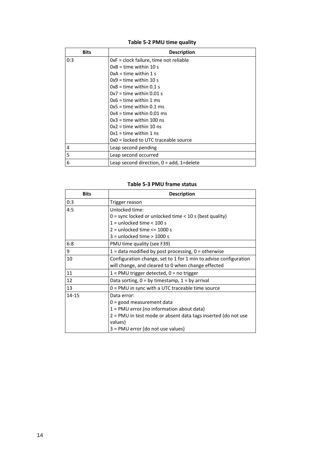## <span id="page-13-0"></span>**Table 5‐2 PMU time quality**

| <b>Bits</b> | <b>Description</b>                          |
|-------------|---------------------------------------------|
| 0:3         | OxF = clock failure, time not reliable      |
|             | $0xB = time$ within 10 s                    |
|             | $0xA =$ time within 1 s                     |
|             | $0x9 =$ time within 10 s                    |
|             | $0x8 =$ time within 0.1 s                   |
|             | $0x7 =$ time within 0.01 s                  |
|             | $0x6 =$ time within 1 ms                    |
|             | $0x5 =$ time within 0.1 ms                  |
|             | $0x4 =$ time within 0.01 ms                 |
|             | $0x3 =$ time within 100 ns                  |
|             | $0x2 =$ time within 10 ns                   |
|             | $0x1 =$ time within 1 ns                    |
|             | OxO = locked to UTC traceable source        |
| 4           | Leap second pending                         |
| 5           | Leap second occurred                        |
| 6           | Leap second direction, $0 = add$ , 1=delete |

#### <span id="page-13-1"></span>**Table 5‐3 PMU frame status**

| <b>Bits</b> | <b>Description</b>                                               |
|-------------|------------------------------------------------------------------|
| 0:3         | Trigger reason                                                   |
| 4:5         | Unlocked time:                                                   |
|             | $0 =$ sync locked or unlocked time $<$ 10 s (best quality)       |
|             | $1 =$ unlocked time $< 100$ s                                    |
|             | $2 =$ unlocked time $\leq$ 1000 s                                |
|             | $3 =$ unlocked time $> 1000$ s                                   |
| 6:8         | PMU time quality (see F39)                                       |
| 9           | $1 =$ data modified by post processing, $0 =$ otherwise          |
| 10          | Configuration change, set to 1 for 1 min to advise configuration |
|             | will change, and cleared to 0 when change effected               |
| 11          | $1 = PMU$ trigger detected, $0 = no$ trigger                     |
| 12          | Data sorting, $0 = by$ timestamp, $1 = by$ arrival               |
| 13          | $0 = PMU$ in sync with a UTC traceable time source               |
| $14 - 15$   | Data error:                                                      |
|             | $0 =$ good measurement data                                      |
|             | $1 = PMU$ error (no information about data)                      |
|             | 2 = PMU in test mode or absent data tags inserted (do not use    |
|             | values)                                                          |
|             | 3 = PMU error (do not use values)                                |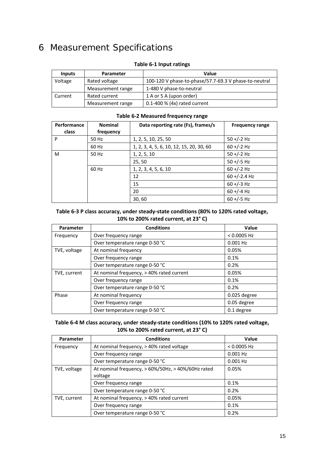# <span id="page-14-0"></span>6 Measurement Specifications

| <b>Inputs</b> | Parameter         | Value                                                 |
|---------------|-------------------|-------------------------------------------------------|
| Voltage       | Rated voltage     | 100-120 V phase-to-phase/57.7-69.3 V phase-to-neutral |
|               | Measurement range | 1-480 V phase-to-neutral                              |
| Current       | Rated current     | 1 A or 5 A (upon order)                               |
|               | Measurement range | $0.1-400$ % (4x) rated current                        |

#### **Table 6‐1 Input ratings**

### **Table 6‐2 Measured frequency range**

| Performance<br>class | <b>Nominal</b><br>frequency | Data reporting rate (Fs), frames/s       | <b>Frequency range</b> |
|----------------------|-----------------------------|------------------------------------------|------------------------|
| P                    | 50 Hz                       | 1, 2, 5, 10, 25, 50                      | $50 + (-2)$ Hz         |
|                      | 60 Hz                       | 1, 2, 3, 4, 5, 6, 10, 12, 15, 20, 30, 60 | $60 + (-2)$ Hz         |
| M                    | 50 Hz                       | 1, 2, 5, 10                              | $50 + (-2)$ Hz         |
|                      |                             | 25,50                                    | $50 + (-5)$ Hz         |
|                      | 60 Hz                       | 1, 2, 3, 4, 5, 6, 10                     | $60 + (-2)$ Hz         |
|                      |                             | 12                                       | $60 + (-2.4)$ Hz       |
|                      |                             | 15                                       | $60 + (-3)$ Hz         |
|                      |                             | 20                                       | $60 + (-4)$ Hz         |
|                      |                             | 30,60                                    | $60 + (-5)$ Hz         |

#### **Table 6‐3 P class accuracy, under steady‐state conditions (80% to 120% rated voltage, 10% to 200% rated current, at 23° C)**

| Parameter    | <b>Conditions</b>                         | Value         |
|--------------|-------------------------------------------|---------------|
| Frequency    | Over frequency range                      | $< 0.0005$ Hz |
|              | Over temperature range 0-50 °C            | $0.001$ Hz    |
| TVE, voltage | At nominal frequency                      | 0.05%         |
|              | Over frequency range                      | 0.1%          |
|              | Over temperature range 0-50 °C            | 0.2%          |
| TVE, current | At nominal frequency, > 40% rated current | 0.05%         |
|              | Over frequency range                      | 0.1%          |
|              | Over temperature range 0-50 °C            | 0.2%          |
| Phase        | At nominal frequency                      | 0.025 degree  |
|              | Over frequency range                      | 0.05 degree   |
|              | Over temperature range 0-50 °C            | 0.1 degree    |

#### **Table 6‐4 M class accuracy, under steady‐state conditions (10% to 120% rated voltage, 10% to 200% rated current, at 23° C)**

| Parameter    | <b>Conditions</b>                                             | Value         |
|--------------|---------------------------------------------------------------|---------------|
| Frequency    | At nominal frequency, > 40% rated voltage                     | $< 0.0005$ Hz |
|              | Over frequency range                                          | $0.001$ Hz    |
|              | Over temperature range 0-50 °C                                | $0.001$ Hz    |
| TVE, voltage | At nominal frequency, > 60%/50Hz, > 40%/60Hz rated<br>voltage | 0.05%         |
|              | Over frequency range                                          | 0.1%          |
|              | Over temperature range 0-50 °C                                | 0.2%          |
| TVE, current | At nominal frequency, > 40% rated current                     | 0.05%         |
|              | Over frequency range                                          | 0.1%          |
|              | Over temperature range 0-50 °C                                | 0.2%          |